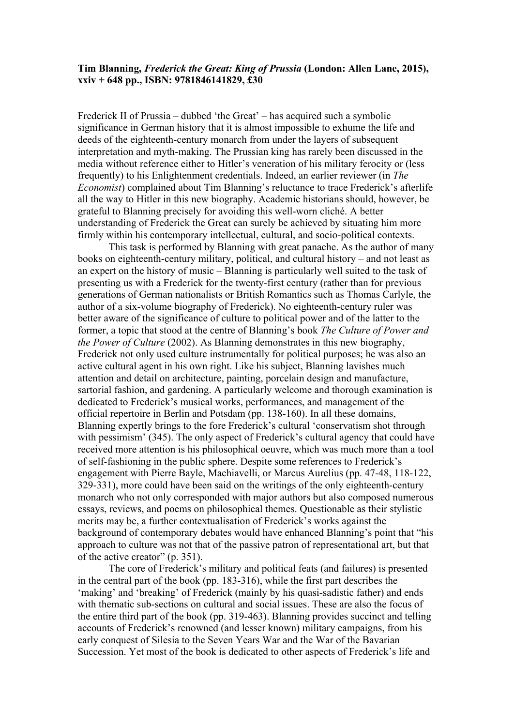## **Tim Blanning,** *Frederick the Great: King of Prussia* **(London: Allen Lane, 2015), xxiv + 648 pp., ISBN: 9781846141829, £30**

Frederick II of Prussia – dubbed 'the Great' – has acquired such a symbolic significance in German history that it is almost impossible to exhume the life and deeds of the eighteenth-century monarch from under the layers of subsequent interpretation and myth-making. The Prussian king has rarely been discussed in the media without reference either to Hitler's veneration of his military ferocity or (less frequently) to his Enlightenment credentials. Indeed, an earlier reviewer (in *The Economist*) complained about Tim Blanning's reluctance to trace Frederick's afterlife all the way to Hitler in this new biography. Academic historians should, however, be grateful to Blanning precisely for avoiding this well-worn cliché. A better understanding of Frederick the Great can surely be achieved by situating him more firmly within his contemporary intellectual, cultural, and socio-political contexts.

This task is performed by Blanning with great panache. As the author of many books on eighteenth-century military, political, and cultural history – and not least as an expert on the history of music – Blanning is particularly well suited to the task of presenting us with a Frederick for the twenty-first century (rather than for previous generations of German nationalists or British Romantics such as Thomas Carlyle, the author of a six-volume biography of Frederick). No eighteenth-century ruler was better aware of the significance of culture to political power and of the latter to the former, a topic that stood at the centre of Blanning's book *The Culture of Power and the Power of Culture* (2002). As Blanning demonstrates in this new biography, Frederick not only used culture instrumentally for political purposes; he was also an active cultural agent in his own right. Like his subject, Blanning lavishes much attention and detail on architecture, painting, porcelain design and manufacture, sartorial fashion, and gardening. A particularly welcome and thorough examination is dedicated to Frederick's musical works, performances, and management of the official repertoire in Berlin and Potsdam (pp. 138-160). In all these domains, Blanning expertly brings to the fore Frederick's cultural 'conservatism shot through with pessimism' (345). The only aspect of Frederick's cultural agency that could have received more attention is his philosophical oeuvre, which was much more than a tool of self-fashioning in the public sphere. Despite some references to Frederick's engagement with Pierre Bayle, Machiavelli, or Marcus Aurelius (pp. 47-48, 118-122, 329-331), more could have been said on the writings of the only eighteenth-century monarch who not only corresponded with major authors but also composed numerous essays, reviews, and poems on philosophical themes. Questionable as their stylistic merits may be, a further contextualisation of Frederick's works against the background of contemporary debates would have enhanced Blanning's point that "his approach to culture was not that of the passive patron of representational art, but that of the active creator" (p. 351).

The core of Frederick's military and political feats (and failures) is presented in the central part of the book (pp. 183-316), while the first part describes the 'making' and 'breaking' of Frederick (mainly by his quasi-sadistic father) and ends with thematic sub-sections on cultural and social issues. These are also the focus of the entire third part of the book (pp. 319-463). Blanning provides succinct and telling accounts of Frederick's renowned (and lesser known) military campaigns, from his early conquest of Silesia to the Seven Years War and the War of the Bavarian Succession. Yet most of the book is dedicated to other aspects of Frederick's life and